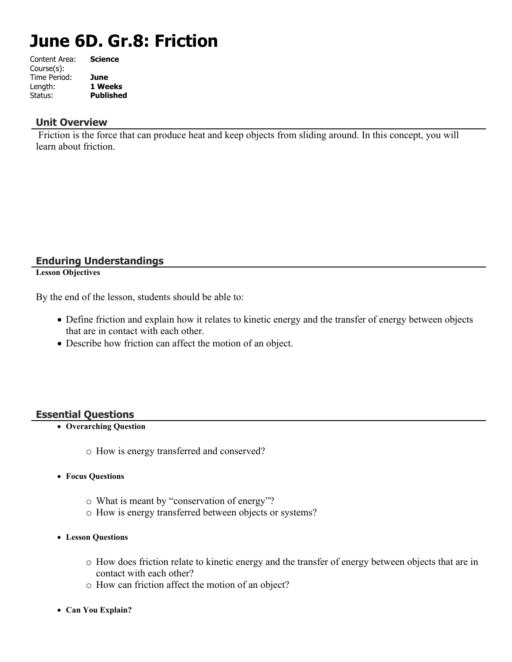# **June 6D. Gr.8: Friction**

| <b>Science</b>   |
|------------------|
|                  |
| June             |
| 1 Weeks          |
| <b>Published</b> |
|                  |

#### **Unit Overview**

 Friction is the force that can produce heat and keep objects from sliding around. In this concept, you will learn about friction.

# **Enduring Understandings**

**Lesson Objectives**

By the end of the lesson, students should be able to:

- Define friction and explain how it relates to kinetic energy and the transfer of energy between objects that are in contact with each other.
- Describe how friction can affect the motion of an object.

### **Essential Questions**

- **Overarching Question**
	- o How is energy transferred and conserved?
- **Focus Questions**
	- o What is meant by "conservation of energy"?
	- o How is energy transferred between objects or systems?
- **Lesson Questions**
	- o How does friction relate to kinetic energy and the transfer of energy between objects that are in contact with each other?
	- o How can friction affect the motion of an object?
- **Can You Explain?**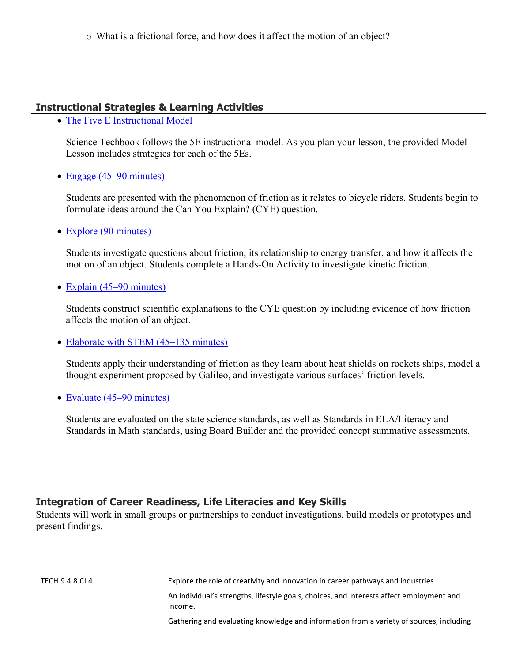# **Instructional Strategies & Learning Activities**

• [The Five E Instructional Model](https://app.discoveryeducation.com/learn/techbook/units/aca7980d-a6c7-475d-9d82-87d45a377a7e/concepts/f0645198-eb76-4c2e-8904-d0a69fb286f6/lesson/sections/16b9e760-ca4e-4811-96ff-d87f6da83985#510be044-2577-4886-8d38-02f86f55bf39)

Science Techbook follows the 5E instructional model. As you plan your lesson, the provided Model Lesson includes strategies for each of the 5Es.

• [Engage \(45–90 minutes\)](https://app.discoveryeducation.com/learn/techbook/units/aca7980d-a6c7-475d-9d82-87d45a377a7e/concepts/f0645198-eb76-4c2e-8904-d0a69fb286f6/lesson/sections/16b9e760-ca4e-4811-96ff-d87f6da83985#e49cbf3d-2ba2-4a45-9209-61988659e554)

Students are presented with the phenomenon of friction as it relates to bicycle riders. Students begin to formulate ideas around the Can You Explain? (CYE) question.

• [Explore \(90 minutes\)](https://app.discoveryeducation.com/learn/techbook/units/aca7980d-a6c7-475d-9d82-87d45a377a7e/concepts/f0645198-eb76-4c2e-8904-d0a69fb286f6/lesson/sections/16b9e760-ca4e-4811-96ff-d87f6da83985#5eec8c5a-c598-414e-9d0e-798f47b5a59c)

Students investigate questions about friction, its relationship to energy transfer, and how it affects the motion of an object. Students complete a Hands-On Activity to investigate kinetic friction.

• [Explain \(45–90 minutes\)](https://app.discoveryeducation.com/learn/techbook/units/aca7980d-a6c7-475d-9d82-87d45a377a7e/concepts/f0645198-eb76-4c2e-8904-d0a69fb286f6/lesson/sections/16b9e760-ca4e-4811-96ff-d87f6da83985#d6906f3a-1b93-4f2d-9d01-43c57f120b0b)

Students construct scientific explanations to the CYE question by including evidence of how friction affects the motion of an object.

• [Elaborate with STEM \(45–135 minutes\)](https://app.discoveryeducation.com/learn/techbook/units/aca7980d-a6c7-475d-9d82-87d45a377a7e/concepts/f0645198-eb76-4c2e-8904-d0a69fb286f6/lesson/sections/16b9e760-ca4e-4811-96ff-d87f6da83985#1e634dde-d9e1-48b6-ad22-44d835757f7c)

Students apply their understanding of friction as they learn about heat shields on rockets ships, model a thought experiment proposed by Galileo, and investigate various surfaces' friction levels.

• [Evaluate \(45–90 minutes\)](https://app.discoveryeducation.com/learn/techbook/units/aca7980d-a6c7-475d-9d82-87d45a377a7e/concepts/f0645198-eb76-4c2e-8904-d0a69fb286f6/lesson/sections/16b9e760-ca4e-4811-96ff-d87f6da83985#3f3d707b-1b8b-4bc6-994f-5f8a861319d4)

Students are evaluated on the state science standards, as well as Standards in ELA/Literacy and Standards in Math standards, using Board Builder and the provided concept summative assessments.

### **Integration of Career Readiness, Life Literacies and Key Skills**

Students will work in small groups or partnerships to conduct investigations, build models or prototypes and present findings.

| TECH.9.4.8.CI.4 | Explore the role of creativity and innovation in career pathways and industries.                    |
|-----------------|-----------------------------------------------------------------------------------------------------|
|                 | An individual's strengths, lifestyle goals, choices, and interests affect employment and<br>income. |
|                 | Gathering and evaluating knowledge and information from a variety of sources, including             |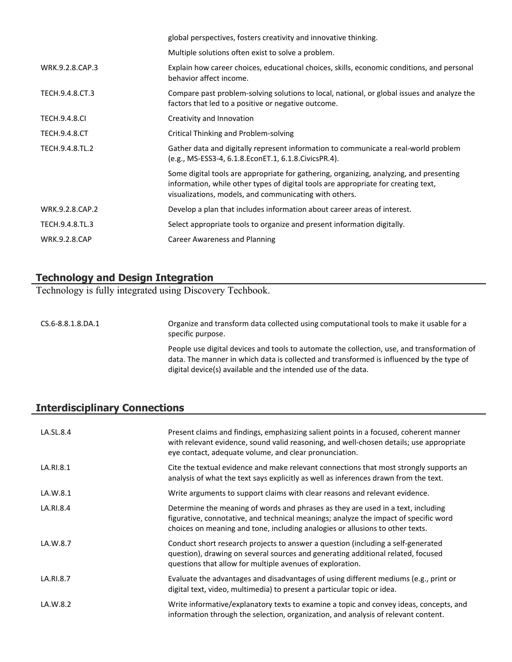|                      | global perspectives, fosters creativity and innovative thinking.                                                                                                                                                                        |  |  |
|----------------------|-----------------------------------------------------------------------------------------------------------------------------------------------------------------------------------------------------------------------------------------|--|--|
|                      | Multiple solutions often exist to solve a problem.                                                                                                                                                                                      |  |  |
| WRK.9.2.8.CAP.3      | Explain how career choices, educational choices, skills, economic conditions, and personal<br>behavior affect income.                                                                                                                   |  |  |
| TECH.9.4.8.CT.3      | Compare past problem-solving solutions to local, national, or global issues and analyze the<br>factors that led to a positive or negative outcome.                                                                                      |  |  |
| <b>TECH.9.4.8.CI</b> | Creativity and Innovation                                                                                                                                                                                                               |  |  |
| <b>TECH.9.4.8.CT</b> | Critical Thinking and Problem-solving                                                                                                                                                                                                   |  |  |
| TECH.9.4.8.TL.2      | Gather data and digitally represent information to communicate a real-world problem<br>(e.g., MS-ESS3-4, 6.1.8.EconET.1, 6.1.8.CivicsPR.4).                                                                                             |  |  |
|                      | Some digital tools are appropriate for gathering, organizing, analyzing, and presenting<br>information, while other types of digital tools are appropriate for creating text,<br>visualizations, models, and communicating with others. |  |  |
| WRK.9.2.8.CAP.2      | Develop a plan that includes information about career areas of interest.                                                                                                                                                                |  |  |
| TECH.9.4.8.TL.3      | Select appropriate tools to organize and present information digitally.                                                                                                                                                                 |  |  |
| <b>WRK.9.2.8.CAP</b> | Career Awareness and Planning                                                                                                                                                                                                           |  |  |

# **Technology and Design Integration**

Technology is fully integrated using Discovery Techbook.

CS.6-8.8.1.8.DA.1 Organize and transform data collected using computational tools to make it usable for a specific purpose. People use digital devices and tools to automate the collection, use, and transformation of data. The manner in which data is collected and transformed is influenced by the type of

digital device(s) available and the intended use of the data.

# **Interdisciplinary Connections**

| LA.SL.8.4 | Present claims and findings, emphasizing salient points in a focused, coherent manner<br>with relevant evidence, sound valid reasoning, and well-chosen details; use appropriate<br>eye contact, adequate volume, and clear pronunciation.                |
|-----------|-----------------------------------------------------------------------------------------------------------------------------------------------------------------------------------------------------------------------------------------------------------|
| LA.RI.8.1 | Cite the textual evidence and make relevant connections that most strongly supports an<br>analysis of what the text says explicitly as well as inferences drawn from the text.                                                                            |
| LA.W.8.1  | Write arguments to support claims with clear reasons and relevant evidence.                                                                                                                                                                               |
| LA.RI.8.4 | Determine the meaning of words and phrases as they are used in a text, including<br>figurative, connotative, and technical meanings; analyze the impact of specific word<br>choices on meaning and tone, including analogies or allusions to other texts. |
| LA.W.8.7  | Conduct short research projects to answer a question (including a self-generated<br>question), drawing on several sources and generating additional related, focused<br>questions that allow for multiple avenues of exploration.                         |
| LA.RI.8.7 | Evaluate the advantages and disadvantages of using different mediums (e.g., print or<br>digital text, video, multimedia) to present a particular topic or idea.                                                                                           |
| LA.W.8.2  | Write informative/explanatory texts to examine a topic and convey ideas, concepts, and<br>information through the selection, organization, and analysis of relevant content.                                                                              |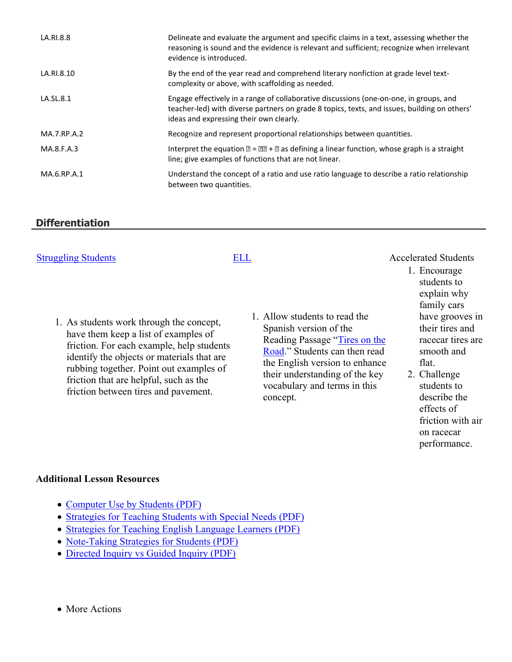| LA.RI.8.8   | Delineate and evaluate the argument and specific claims in a text, assessing whether the<br>reasoning is sound and the evidence is relevant and sufficient; recognize when irrelevant<br>evidence is introduced.                  |
|-------------|-----------------------------------------------------------------------------------------------------------------------------------------------------------------------------------------------------------------------------------|
| LA.RI.8.10  | By the end of the year read and comprehend literary nonfiction at grade level text-<br>complexity or above, with scaffolding as needed.                                                                                           |
| LA.SL.8.1   | Engage effectively in a range of collaborative discussions (one-on-one, in groups, and<br>teacher-led) with diverse partners on grade 8 topics, texts, and issues, building on others'<br>ideas and expressing their own clearly. |
| MA.7.RP.A.2 | Recognize and represent proportional relationships between quantities.                                                                                                                                                            |
| MA.8.F.A.3  | Interpret the equation $\mathbb{Z} = \mathbb{Z} + \mathbb{Z}$ as defining a linear function, whose graph is a straight<br>line; give examples of functions that are not linear.                                                   |
| MA.6.RP.A.1 | Understand the concept of a ratio and use ratio language to describe a ratio relationship<br>between two quantities.                                                                                                              |

# **Differentiation**

| <b>Struggling Students</b>                                                                                                                                                                                                                                                                               | ELL                                                                                                 |                                                                                                                                    | <b>Accelerated Students</b><br>1. Encourage                                                                                                                                              |
|----------------------------------------------------------------------------------------------------------------------------------------------------------------------------------------------------------------------------------------------------------------------------------------------------------|-----------------------------------------------------------------------------------------------------|------------------------------------------------------------------------------------------------------------------------------------|------------------------------------------------------------------------------------------------------------------------------------------------------------------------------------------|
| 1. As students work through the concept,<br>have them keep a list of examples of<br>friction. For each example, help students<br>identify the objects or materials that are<br>rubbing together. Point out examples of<br>friction that are helpful, such as the<br>friction between tires and pavement. | 1. Allow students to read the<br>Spanish version of the<br>vocabulary and terms in this<br>concept. | Reading Passage "Tires on the<br>Road." Students can then read<br>the English version to enhance<br>their understanding of the key | students to<br>explain why<br>family cars<br>have grooves in<br>their tires and<br>racecar tires are<br>smooth and<br>flat.<br>2. Challenge<br>students to<br>describe the<br>effects of |

friction with air on racecar performance.

#### **Additional Lesson Resources**

- [Computer Use by Students \(PDF\)](https://static.discoveryeducation.com/techbook/pdf/ComputerUsebyStudents.pdf)
- [Strategies for Teaching Students with Special Needs \(PDF\)](https://static.discoveryeducation.com/techbook/pdf/StrategiesTeachingSpecialNeeds.pdf)
- [Strategies for Teaching English Language Learners \(PDF\)](https://static.discoveryeducation.com/techbook/pdf/TeachingEnglishLanguageLearners.pdf)
- [Note-Taking Strategies for Students \(PDF\)](https://static.discoveryeducation.com/techbook/pdf/NotetakingStrategies.pdf)
- [Directed Inquiry vs Guided Inquiry \(PDF\)](https://static.discoveryeducation.com/techbook/pdf/DirectedInquiryvsGuidedInquiry.pdf)
- More Actions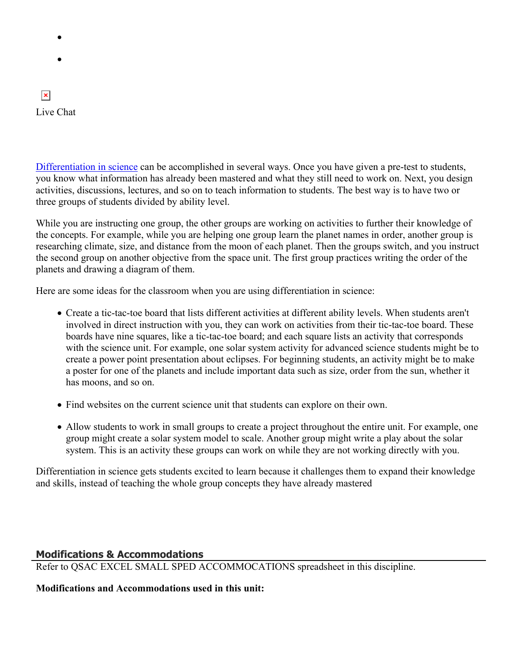- $\bullet$
- $\bullet$

# $\vert \mathbf{x} \vert$ Live Chat

[Differentiation in science](http://www.brighthubeducation.com/teaching-gifted-students/65181-differentiation-techniques-and-activities-in-the-classroom-for-gifted-students/) can be accomplished in several ways. Once you have given a pre-test to students, you know what information has already been mastered and what they still need to work on. Next, you design activities, discussions, lectures, and so on to teach information to students. The best way is to have two or three groups of students divided by ability level.

While you are instructing one group, the other groups are working on activities to further their knowledge of the concepts. For example, while you are helping one group learn the planet names in order, another group is researching climate, size, and distance from the moon of each planet. Then the groups switch, and you instruct the second group on another objective from the space unit. The first group practices writing the order of the planets and drawing a diagram of them.

Here are some ideas for the classroom when you are using differentiation in science:

- Create a tic-tac-toe board that lists different activities at different ability levels. When students aren't involved in direct instruction with you, they can work on activities from their tic-tac-toe board. These boards have nine squares, like a tic-tac-toe board; and each square lists an activity that corresponds with the science unit. For example, one solar system activity for advanced science students might be to create a power point presentation about eclipses. For beginning students, an activity might be to make a poster for one of the planets and include important data such as size, order from the sun, whether it has moons, and so on.
- Find websites on the current science unit that students can explore on their own.
- Allow students to work in small groups to create a project throughout the entire unit. For example, one group might create a solar system model to scale. Another group might write a play about the solar system. This is an activity these groups can work on while they are not working directly with you.

Differentiation in science gets students excited to learn because it challenges them to expand their knowledge and skills, instead of teaching the whole group concepts they have already mastered

# **Modifications & Accommodations**

Refer to QSAC EXCEL SMALL SPED ACCOMMOCATIONS spreadsheet in this discipline.

**Modifications and Accommodations used in this unit:**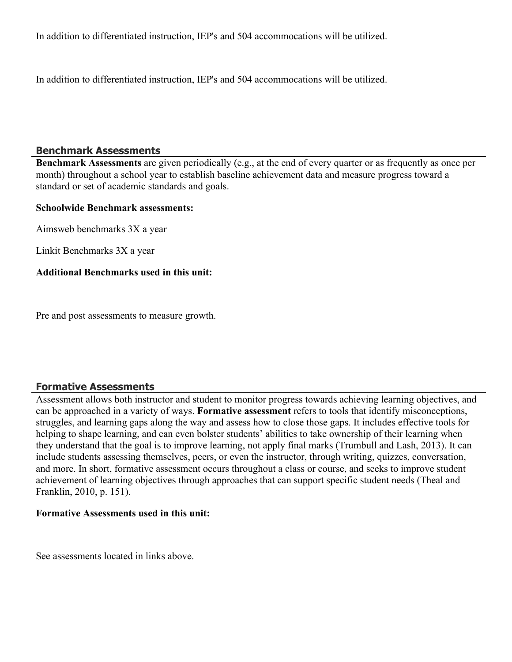In addition to differentiated instruction, IEP's and 504 accommocations will be utilized.

In addition to differentiated instruction, IEP's and 504 accommocations will be utilized.

# **Benchmark Assessments**

**Benchmark Assessments** are given periodically (e.g., at the end of every quarter or as frequently as once per month) throughout a school year to establish baseline achievement data and measure progress toward a standard or set of academic standards and goals.

### **Schoolwide Benchmark assessments:**

Aimsweb benchmarks 3X a year

Linkit Benchmarks 3X a year

### **Additional Benchmarks used in this unit:**

Pre and post assessments to measure growth.

# **Formative Assessments**

Assessment allows both instructor and student to monitor progress towards achieving learning objectives, and can be approached in a variety of ways. **Formative assessment** refers to tools that identify misconceptions, struggles, and learning gaps along the way and assess how to close those gaps. It includes effective tools for helping to shape learning, and can even bolster students' abilities to take ownership of their learning when they understand that the goal is to improve learning, not apply final marks (Trumbull and Lash, 2013). It can include students assessing themselves, peers, or even the instructor, through writing, quizzes, conversation, and more. In short, formative assessment occurs throughout a class or course, and seeks to improve student achievement of learning objectives through approaches that can support specific student needs (Theal and Franklin, 2010, p. 151).

### **Formative Assessments used in this unit:**

See assessments located in links above.